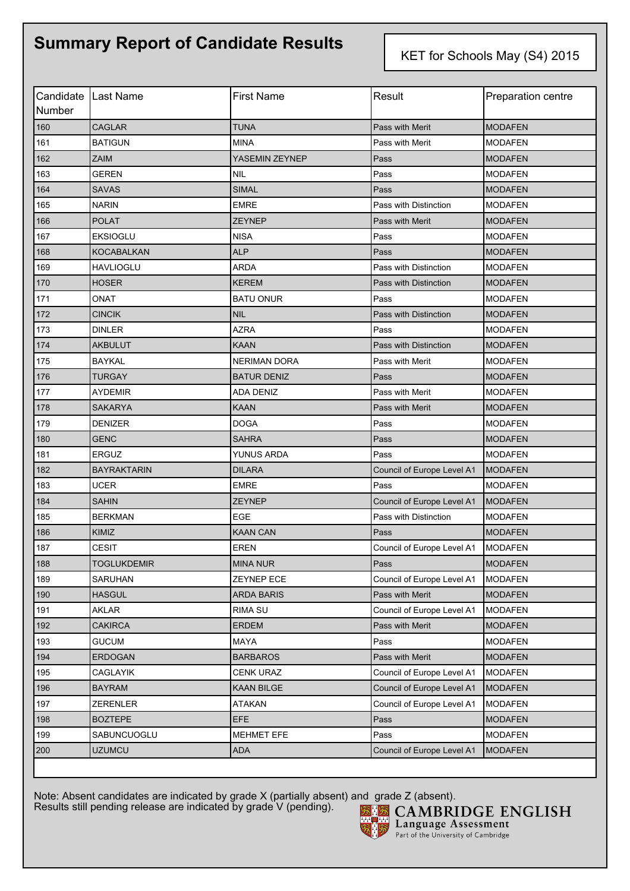## **Summary Report of Candidate Results**

KET for Schools May (S4) 2015

| Number | Candidate   Last Name | <b>First Name</b>   | Result                     | Preparation centre |
|--------|-----------------------|---------------------|----------------------------|--------------------|
| 160    | <b>CAGLAR</b>         | <b>TUNA</b>         | Pass with Merit            | <b>MODAFEN</b>     |
| 161    | <b>BATIGUN</b>        | <b>MINA</b>         | Pass with Merit            | <b>MODAFEN</b>     |
| 162    | <b>ZAIM</b>           | YASEMIN ZEYNEP      | Pass                       | <b>MODAFEN</b>     |
| 163    | GEREN                 | <b>NIL</b>          | Pass                       | <b>MODAFEN</b>     |
| 164    | <b>SAVAS</b>          | <b>SIMAL</b>        | Pass                       | <b>MODAFEN</b>     |
| 165    | <b>NARIN</b>          | <b>EMRE</b>         | Pass with Distinction      | <b>MODAFEN</b>     |
| 166    | <b>POLAT</b>          | <b>ZEYNEP</b>       | Pass with Merit            | <b>MODAFEN</b>     |
| 167    | <b>EKSIOGLU</b>       | <b>NISA</b>         | Pass                       | <b>MODAFEN</b>     |
| 168    | <b>KOCABALKAN</b>     | <b>ALP</b>          | Pass                       | <b>MODAFEN</b>     |
| 169    | HAVLIOGLU             | <b>ARDA</b>         | Pass with Distinction      | <b>MODAFEN</b>     |
| 170    | <b>HOSER</b>          | <b>KEREM</b>        | Pass with Distinction      | <b>MODAFEN</b>     |
| 171    | ONAT                  | <b>BATU ONUR</b>    | Pass                       | <b>MODAFEN</b>     |
| 172    | <b>CINCIK</b>         | <b>NIL</b>          | Pass with Distinction      | <b>MODAFEN</b>     |
| 173    | <b>DINLER</b>         | <b>AZRA</b>         | Pass                       | <b>MODAFEN</b>     |
| 174    | <b>AKBULUT</b>        | <b>KAAN</b>         | Pass with Distinction      | <b>MODAFEN</b>     |
| 175    | <b>BAYKAL</b>         | <b>NERIMAN DORA</b> | Pass with Merit            | <b>MODAFEN</b>     |
| 176    | <b>TURGAY</b>         | <b>BATUR DENIZ</b>  | Pass                       | <b>MODAFEN</b>     |
| 177    | <b>AYDEMIR</b>        | <b>ADA DENIZ</b>    | Pass with Merit            | <b>MODAFEN</b>     |
| 178    | SAKARYA               | <b>KAAN</b>         | Pass with Merit            | <b>MODAFEN</b>     |
| 179    | <b>DENIZER</b>        | <b>DOGA</b>         | Pass                       | <b>MODAFEN</b>     |
| 180    | <b>GENC</b>           | <b>SAHRA</b>        | Pass                       | <b>MODAFEN</b>     |
| 181    | <b>ERGUZ</b>          | YUNUS ARDA          | Pass                       | <b>MODAFEN</b>     |
| 182    | <b>BAYRAKTARIN</b>    | <b>DILARA</b>       | Council of Europe Level A1 | <b>MODAFEN</b>     |
| 183    | <b>UCER</b>           | <b>EMRE</b>         | Pass                       | <b>MODAFEN</b>     |
| 184    | <b>SAHIN</b>          | <b>ZEYNEP</b>       | Council of Europe Level A1 | <b>MODAFEN</b>     |
| 185    | <b>BERKMAN</b>        | <b>EGE</b>          | Pass with Distinction      | <b>MODAFEN</b>     |
| 186    | KIMIZ                 | <b>KAAN CAN</b>     | Pass                       | <b>MODAFEN</b>     |
| 187    | <b>CESIT</b>          | <b>EREN</b>         | Council of Europe Level A1 | <b>MODAFEN</b>     |
| 188    | <b>TOGLUKDEMIR</b>    | <b>MINA NUR</b>     | Pass                       | <b>MODAFEN</b>     |
| 189    | SARUHAN               | ZEYNEP ECE          | Council of Europe Level A1 | <b>MODAFEN</b>     |
| 190    | <b>HASGUL</b>         | <b>ARDA BARIS</b>   | Pass with Merit            | <b>MODAFEN</b>     |
| 191    | AKLAR                 | <b>RIMA SU</b>      | Council of Europe Level A1 | <b>MODAFEN</b>     |
| 192    | <b>CAKIRCA</b>        | <b>ERDEM</b>        | Pass with Merit            | <b>MODAFEN</b>     |
| 193    | <b>GUCUM</b>          | MAYA                | Pass                       | <b>MODAFEN</b>     |
| 194    | <b>ERDOGAN</b>        | <b>BARBAROS</b>     | Pass with Merit            | <b>MODAFEN</b>     |
| 195    | CAGLAYIK              | <b>CENK URAZ</b>    | Council of Europe Level A1 | <b>MODAFEN</b>     |
| 196    | <b>BAYRAM</b>         | KAAN BILGE          | Council of Europe Level A1 | <b>MODAFEN</b>     |
| 197    | <b>ZERENLER</b>       | <b>ATAKAN</b>       | Council of Europe Level A1 | <b>MODAFEN</b>     |
| 198    | <b>BOZTEPE</b>        | <b>EFE</b>          | Pass                       | <b>MODAFEN</b>     |
| 199    | SABUNCUOGLU           | MEHMET EFE          | Pass                       | <b>MODAFEN</b>     |
| 200    | <b>UZUMCU</b>         | <b>ADA</b>          | Council of Europe Level A1 | <b>MODAFEN</b>     |

Note: Absent candidates are indicated by grade X (partially absent) and grade Z (absent). Results still pending release are indicated by grade V (pending).



**CAMBRIDGE ENGLISH** Language Assessment Part of the University of Cambridge